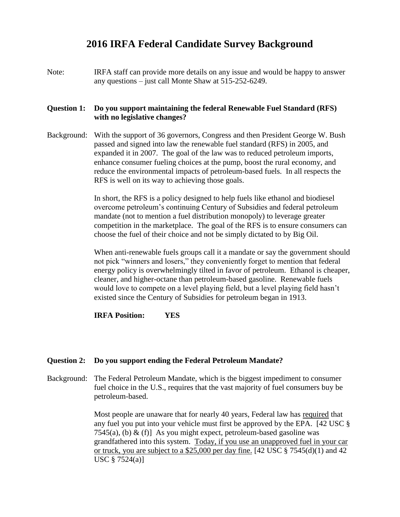# **2016 IRFA Federal Candidate Survey Background**

Note: IRFA staff can provide more details on any issue and would be happy to answer any questions – just call Monte Shaw at 515-252-6249.

# **Question 1: Do you support maintaining the federal Renewable Fuel Standard (RFS) with no legislative changes?**

Background: With the support of 36 governors, Congress and then President George W. Bush passed and signed into law the renewable fuel standard (RFS) in 2005, and expanded it in 2007. The goal of the law was to reduced petroleum imports, enhance consumer fueling choices at the pump, boost the rural economy, and reduce the environmental impacts of petroleum-based fuels. In all respects the RFS is well on its way to achieving those goals.

> In short, the RFS is a policy designed to help fuels like ethanol and biodiesel overcome petroleum's continuing Century of Subsidies and federal petroleum mandate (not to mention a fuel distribution monopoly) to leverage greater competition in the marketplace. The goal of the RFS is to ensure consumers can choose the fuel of their choice and not be simply dictated to by Big Oil.

When anti-renewable fuels groups call it a mandate or say the government should not pick "winners and losers," they conveniently forget to mention that federal energy policy is overwhelmingly tilted in favor of petroleum. Ethanol is cheaper, cleaner, and higher-octane than petroleum-based gasoline. Renewable fuels would love to compete on a level playing field, but a level playing field hasn't existed since the Century of Subsidies for petroleum began in 1913.

# **IRFA Position: YES**

#### **Question 2: Do you support ending the Federal Petroleum Mandate?**

Background: The Federal Petroleum Mandate, which is the biggest impediment to consumer fuel choice in the U.S., requires that the vast majority of fuel consumers buy be petroleum-based.

> Most people are unaware that for nearly 40 years, Federal law has required that any fuel you put into your vehicle must first be approved by the EPA. [42 USC § 7545(a), (b) & (f)] As you might expect, petroleum-based gasoline was grandfathered into this system. Today, if you use an unapproved fuel in your car or truck, you are subject to a \$25,000 per day fine. [42 USC  $\S$  7545(d)(1) and 42 USC § 7524(a)]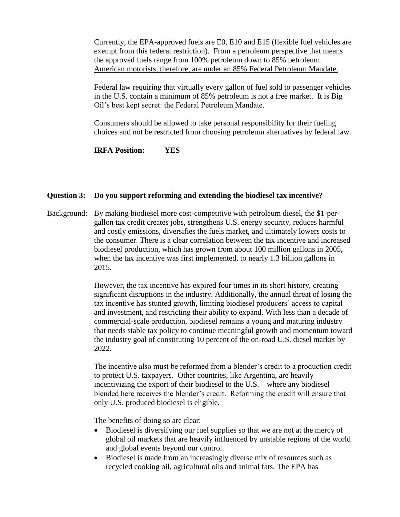Currently, the EPA-approved fuels are E0, E10 and E15 (flexible fuel vehicles are exempt from this federal restriction). From a petroleum perspective that means the approved fuels range from 100% petroleum down to 85% petroleum. American motorists, therefore, are under an 85% Federal Petroleum Mandate.

Federal law requiring that virtually every gallon of fuel sold to passenger vehicles in the U.S. contain a minimum of 85% petroleum is not a free market. It is Big Oil's best kept secret: the Federal Petroleum Mandate.

Consumers should be allowed to take personal responsibility for their fueling choices and not be restricted from choosing petroleum alternatives by federal law.

**IRFA Position: YES**

# **Question 3: Do you support reforming and extending the biodiesel tax incentive?**

Background: By making biodiesel more cost-competitive with petroleum diesel, the \$1-pergallon tax credit creates jobs, strengthens U.S. energy security, reduces harmful and costly emissions, diversifies the fuels market, and ultimately lowers costs to the consumer. There is a clear correlation between the tax incentive and increased biodiesel production, which has grown from about 100 million gallons in 2005, when the tax incentive was first implemented, to nearly 1.3 billion gallons in 2015.

> However, the tax incentive has expired four times in its short history, creating significant disruptions in the industry. Additionally, the annual threat of losing the tax incentive has stunted growth, limiting biodiesel producers' access to capital and investment, and restricting their ability to expand. With less than a decade of commercial-scale production, biodiesel remains a young and maturing industry that needs stable tax policy to continue meaningful growth and momentum toward the industry goal of constituting 10 percent of the on-road U.S. diesel market by 2022.

> The incentive also must be reformed from a blender's credit to a production credit to protect U.S. taxpayers. Other countries, like Argentina, are heavily incentivizing the export of their biodiesel to the U.S. – where any biodiesel blended here receives the blender's credit. Reforming the credit will ensure that only U.S. produced biodiesel is eligible.

The benefits of doing so are clear:

- Biodiesel is diversifying our fuel supplies so that we are not at the mercy of global oil markets that are heavily influenced by unstable regions of the world and global events beyond our control.
- Biodiesel is made from an increasingly diverse mix of resources such as recycled cooking oil, agricultural oils and animal fats. The EPA has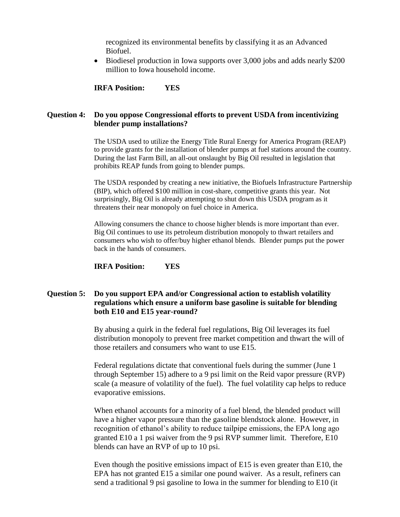recognized its environmental benefits by classifying it as an Advanced Biofuel.

• Biodiesel production in Iowa supports over 3,000 jobs and adds nearly \$200 million to Iowa household income.

**IRFA Position: YES**

# **Question 4: Do you oppose Congressional efforts to prevent USDA from incentivizing blender pump installations?**

The USDA used to utilize the Energy Title Rural Energy for America Program (REAP) to provide grants for the installation of blender pumps at fuel stations around the country. During the last Farm Bill, an all-out onslaught by Big Oil resulted in legislation that prohibits REAP funds from going to blender pumps.

The USDA responded by creating a new initiative, the Biofuels Infrastructure Partnership (BIP), which offered \$100 million in cost-share, competitive grants this year. Not surprisingly, Big Oil is already attempting to shut down this USDA program as it threatens their near monopoly on fuel choice in America.

Allowing consumers the chance to choose higher blends is more important than ever. Big Oil continues to use its petroleum distribution monopoly to thwart retailers and consumers who wish to offer/buy higher ethanol blends. Blender pumps put the power back in the hands of consumers.

**IRFA Position: YES**

# **Question 5: Do you support EPA and/or Congressional action to establish volatility regulations which ensure a uniform base gasoline is suitable for blending both E10 and E15 year-round?**

By abusing a quirk in the federal fuel regulations, Big Oil leverages its fuel distribution monopoly to prevent free market competition and thwart the will of those retailers and consumers who want to use E15.

Federal regulations dictate that conventional fuels during the summer (June 1 through September 15) adhere to a 9 psi limit on the Reid vapor pressure (RVP) scale (a measure of volatility of the fuel). The fuel volatility cap helps to reduce evaporative emissions.

When ethanol accounts for a minority of a fuel blend, the blended product will have a higher vapor pressure than the gasoline blendstock alone. However, in recognition of ethanol's ability to reduce tailpipe emissions, the EPA long ago granted E10 a 1 psi waiver from the 9 psi RVP summer limit. Therefore, E10 blends can have an RVP of up to 10 psi.

Even though the positive emissions impact of E15 is even greater than E10, the EPA has not granted E15 a similar one pound waiver. As a result, refiners can send a traditional 9 psi gasoline to Iowa in the summer for blending to E10 (it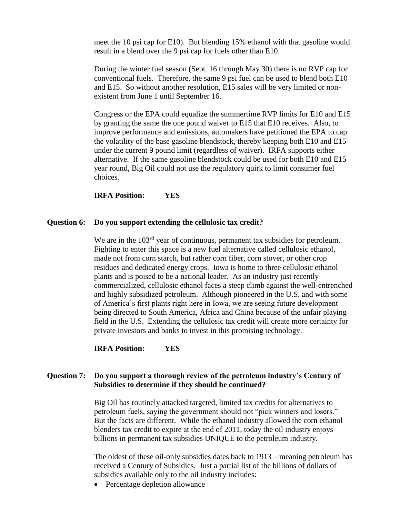meet the 10 psi cap for E10). But blending 15% ethanol with that gasoline would result in a blend over the 9 psi cap for fuels other than E10.

During the winter fuel season (Sept. 16 through May 30) there is no RVP cap for conventional fuels. Therefore, the same 9 psi fuel can be used to blend both E10 and E15. So without another resolution, E15 sales will be very limited or nonexistent from June 1 until September 16.

Congress or the EPA could equalize the summertime RVP limits for E10 and E15 by granting the same the one pound waiver to E15 that E10 receives. Also, to improve performance and emissions, automakers have petitioned the EPA to cap the volatility of the base gasoline blendstock, thereby keeping both E10 and E15 under the current 9 pound limit (regardless of waiver). IRFA supports either alternative. If the same gasoline blendstock could be used for both E10 and E15 year round, Big Oil could not use the regulatory quirk to limit consumer fuel choices.

#### **IRFA Position: YES**

#### **Question 6: Do you support extending the cellulosic tax credit?**

We are in the 103<sup>rd</sup> year of continuous, permanent tax subsidies for petroleum. Fighting to enter this space is a new fuel alternative called cellulosic ethanol, made not from corn starch, but rather corn fiber, corn stover, or other crop residues and dedicated energy crops. Iowa is home to three cellulosic ethanol plants and is poised to be a national leader. As an industry just recently commercialized, cellulosic ethanol faces a steep climb against the well-entrenched and highly subsidized petroleum. Although pioneered in the U.S. and with some of America's first plants right here in Iowa, we are seeing future development being directed to South America, Africa and China because of the unfair playing field in the U.S. Extending the cellulosic tax credit will create more certainty for private investors and banks to invest in this promising technology.

# **IRFA Position: YES**

# **Question 7: Do you support a thorough review of the petroleum industry's Century of Subsidies to determine if they should be continued?**

Big Oil has routinely attacked targeted, limited tax credits for alternatives to petroleum fuels, saying the government should not "pick winners and losers." But the facts are different. While the ethanol industry allowed the corn ethanol blenders tax credit to expire at the end of 2011, today the oil industry enjoys billions in permanent tax subsidies UNIQUE to the petroleum industry.

The oldest of these oil-only subsidies dates back to 1913 – meaning petroleum has received a Century of Subsidies. Just a partial list of the billions of dollars of subsidies available only to the oil industry includes:

• Percentage depletion allowance